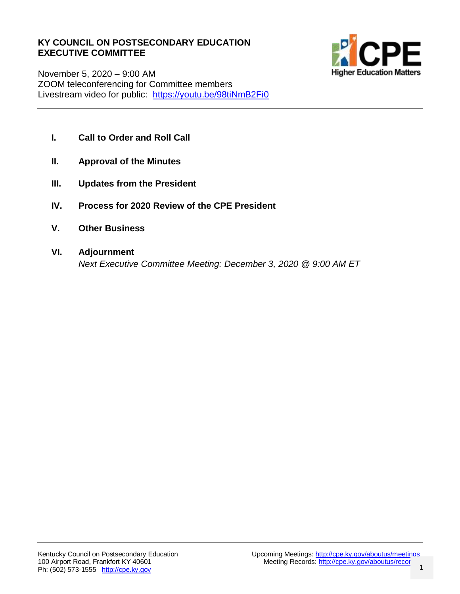#### **KY COUNCIL ON POSTSECONDARY EDUCATION EXECUTIVE COMMITTEE**



November 5, 2020 – 9:00 AM ZOOM teleconferencing for Committee members Livestream video for public: <https://youtu.be/98tiNmB2Fi0>

- **I. Call to Order and Roll Call**
- **II. Approval of the Minutes**
- **III. Updates from the President**
- **IV. Process for 2020 Review of the CPE President**
- **V. Other Business**
- **VI. Adjournment** *Next Executive Committee Meeting: December 3, 2020 @ 9:00 AM ET*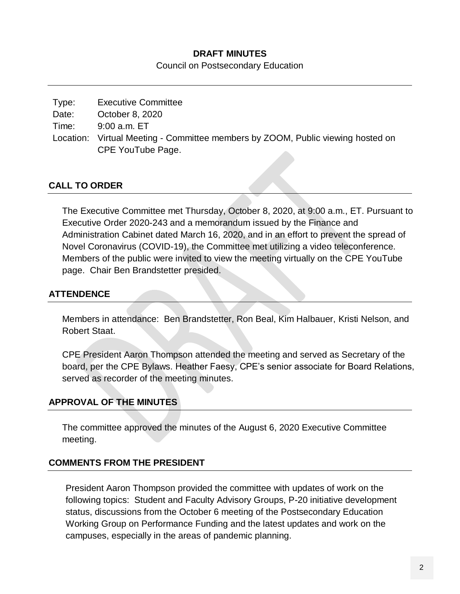### **DRAFT MINUTES**

Council on Postsecondary Education

| Type: | <b>Executive Committee</b>                                                      |
|-------|---------------------------------------------------------------------------------|
| Date: | October 8, 2020                                                                 |
| Time: | $9:00$ a.m. $ET$                                                                |
|       | Location: Virtual Meeting - Committee members by ZOOM, Public viewing hosted on |
|       | CPE YouTube Page.                                                               |
|       |                                                                                 |

## **CALL TO ORDER**

The Executive Committee met Thursday, October 8, 2020, at 9:00 a.m., ET. Pursuant to Executive Order 2020-243 and a memorandum issued by the Finance and Administration Cabinet dated March 16, 2020, and in an effort to prevent the spread of Novel Coronavirus (COVID-19), the Committee met utilizing a video teleconference. Members of the public were invited to view the meeting virtually on the CPE YouTube page. Chair Ben Brandstetter presided.

## **ATTENDENCE**

Members in attendance: Ben Brandstetter, Ron Beal, Kim Halbauer, Kristi Nelson, and Robert Staat.

CPE President Aaron Thompson attended the meeting and served as Secretary of the board, per the CPE Bylaws. Heather Faesy, CPE's senior associate for Board Relations, served as recorder of the meeting minutes.

### **APPROVAL OF THE MINUTES**

The committee approved the minutes of the August 6, 2020 Executive Committee meeting.

### **COMMENTS FROM THE PRESIDENT**

President Aaron Thompson provided the committee with updates of work on the following topics: Student and Faculty Advisory Groups, P-20 initiative development status, discussions from the October 6 meeting of the Postsecondary Education Working Group on Performance Funding and the latest updates and work on the campuses, especially in the areas of pandemic planning.